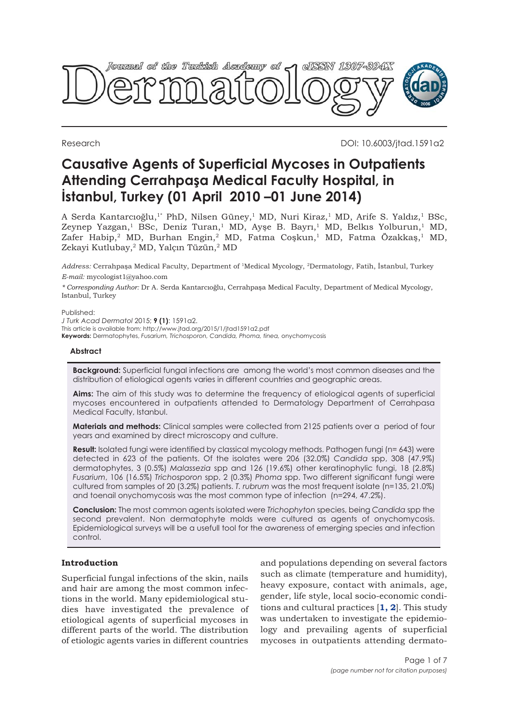

Research DOI: 10.6003/jtad.1591a2

# **Causative Agents of Superficial Mycoses in Outpatients Attending Cerrahpaşa Medical Faculty Hospital, in İstanbul, Turkey (01 April 2010 –01 June 2014)**

A Serda Kantarcıoğlu,<sup>1\*</sup> PhD, Nilsen Güney,<sup>1</sup> MD, Nuri Kiraz,<sup>1</sup> MD, Arife S. Yaldız,<sup>1</sup> BSc, Zeynep Yazgan,<sup>1</sup> BSc, Deniz Turan,<sup>1</sup> MD, Ayşe B. Bayrı,<sup>1</sup> MD, Belkıs Yolburun,<sup>1</sup> MD, Zafer Habip,<sup>2</sup> MD, Burhan Engin,<sup>2</sup> MD, Fatma Coskun,<sup>1</sup> MD, Fatma Özakkaş,<sup>1</sup> MD, Zekayi Kutlubay,<sup>2</sup> MD, Yalçın Tüzün,<sup>2</sup> MD

*Address:* Cerrahpaşa Medical Faculty, Department of <sup>1</sup>Medical Mycology, <sup>2</sup>Dermatology, Fatih, İstanbul, Turkey *E-mail:* mycologist1@yahoo.com

*\* Corresponding Author:* Dr A. Serda Kantarcıoğlu, Cerrahpaşa Medical Faculty, Department of Medical Mycology, Istanbul, Turkey

Published:

*J Turk Acad Dermatol* 2015; **9 (1)**: 1591a2. This article is available from: http://www.jtad.org/2015/1/jtad1591a2.pdf **Keywords:** Dermatophytes, *Fusarium, Trichosporon, Candida, Phoma, tinea,* onychomycosis

### **Abstract**

**Background:** Superficial fungal infections are among the world's most common diseases and the distribution of etiological agents varies in different countries and geographic areas.

**Aims:** The aim of this study was to determine the frequency of etiological agents of superficial mycoses encountered in outpatients attended to Dermatology Department of Cerrahpasa Medical Faculty, Istanbul.

**Materials and methods:** Clinical samples were collected from 2125 patients over a period of four years and examined by direct microscopy and culture.

**Result:** Isolated fungi were identified by classical mycology methods. Pathogen fungi (n= 643) were detected in 623 of the patients. Of the isolates were 206 (32.0%) *Candida* spp, 308 (47.9%) dermatophytes, 3 (0.5%) *Malassezia* spp and 126 (19.6%) other keratinophylic fungi, 18 (2.8%) *Fusarium*, 106 (16.5%) *Trichosporon* spp, 2 (0.3%) *Phoma* spp. Two different significant fungi were cultured from samples of 20 (3.2%) patients. *T. rubrum* was the most frequent isolate (n=135, 21.0%) and toenail onychomycosis was the most common type of infection (n=294, 47.2%).

**Conclusion:** The most common agents isolated were *Trichophyton* species, being *Candida* spp the second prevalent. Non dermatophyte molds were cultured as agents of onychomycosis. Epidemiological surveys will be a usefull tool for the awareness of emerging species and infection control.

# **Introduction**

Superficial fungal infections of the skin, nails and hair are among the most common infections in the world. Many epidemiological studies have investigated the prevalence of etiological agents of superficial mycoses in different parts of the world. The distribution of etiologic agents varies in different countries

and populations depending on several factors such as climate (temperature and humidity), heavy exposure, contact with animals, age, gender, life style, local socio-economic conditions and cultural practices [**[1, 2](#page-5-0)**]. This study was undertaken to investigate the epidemiology and prevailing agents of superficial mycoses in outpatients attending dermato-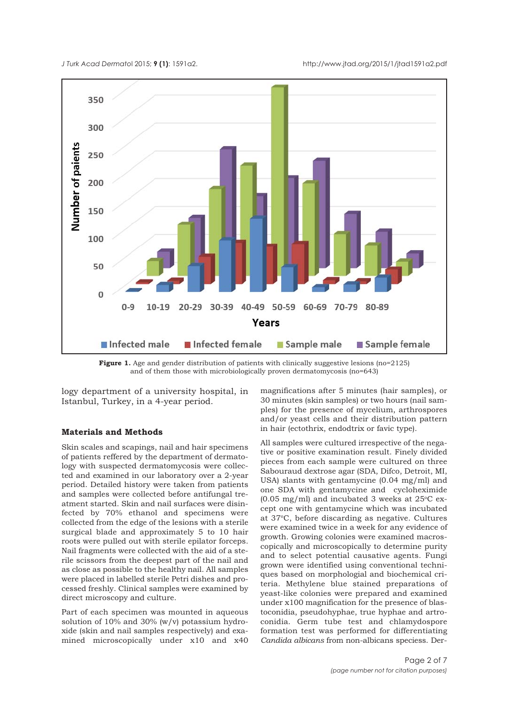<span id="page-1-0"></span>*J Turk Acad Dermato*l 2015; **9 (1)**: 1591a2. http://www.jtad.org/2015/1/jtad1591a2.pdf



Figure 1. Age and gender distribution of patients with clinically suggestive lesions (no=2125) and of them those with microbiologically proven dermatomycosis (no=643)

logy department of a university hospital, in Istanbul, Turkey, in a 4-year period.

## **Materials and Methods**

Skin scales and scapings, nail and hair specimens of patients reffered by the department of dermatology with suspected dermatomycosis were collected and examined in our laboratory over a 2-year period. Detailed history were taken from patients and samples were collected before antifungal treatment started. Skin and nail surfaces were disinfected by 70% ethanol and specimens were collected from the edge of the lesions with a sterile surgical blade and approximately 5 to 10 hair roots were pulled out with sterile epilator forceps. Nail fragments were collected with the aid of a sterile scissors from the deepest part of the nail and as close as possible to the healthy nail. All samples were placed in labelled sterile Petri dishes and processed freshly. Clinical samples were examined by direct microscopy and culture.

Part of each specimen was mounted in aqueous solution of 10% and 30% (w/v) potassium hydroxide (skin and nail samples respectively) and examined microscopically under x10 and x40 magnifications after 5 minutes (hair samples), or 30 minutes (skin samples) or two hours (nail samples) for the presence of mycelium, arthrospores and/or yeast cells and their distribution pattern in hair (ectothrix, endodtrix or favic type).

All samples were cultured irrespective of the negative or positive examination result. Finely divided pieces from each sample were cultured on three Sabouraud dextrose agar (SDA, Difco, Detroit, MI, USA) slants with gentamycine (0.04 mg/ml) and one SDA with gentamycine and cycloheximide (0.05 mg/ml) and incubated 3 weeks at  $25^{\circ}$ C except one with gentamycine which was incubated at 37oC, before discarding as negative. Cultures were examined twice in a week for any evidence of growth. Growing colonies were examined macroscopically and microscopically to determine purity and to select potential causative agents. Fungi grown were identified using conventional techniques based on morphologial and biochemical criteria. Methylene blue stained preparations of yeast-like colonies were prepared and examined under x100 magnification for the presence of blastoconidia, pseudohyphae, true hyphae and artroconidia. Germ tube test and chlamydospore formation test was performed for differentiating *Candida albicans* from non-albicans speciess. Der-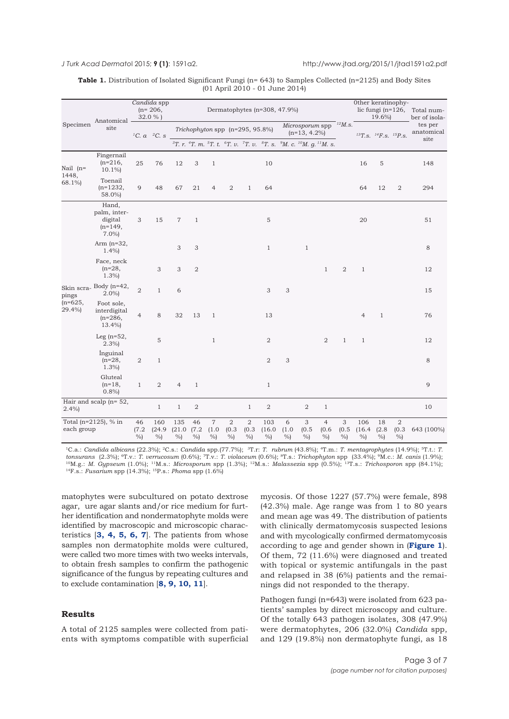### <span id="page-2-0"></span>*J Turk Acad Dermato*l 2015; **9 (1)**: 1591a2. http://www.jtad.org/2015/1/jtad1591a2.pdf

| <b>Table 1.</b> Distribution of Isolated Significant Fungi $(n=643)$ to Samples Collected $(n=2125)$ and Body Sites |  |                                |  |  |  |
|---------------------------------------------------------------------------------------------------------------------|--|--------------------------------|--|--|--|
|                                                                                                                     |  | (01 April 2010 - 01 June 2014) |  |  |  |

| Specimen                                   | Anatomical<br>site                                       | Candida spp<br>$(n=206,$<br>32.0%) |                             | Dermatophytes (n=308, 47.9%)                                          |                  |                          |                             |                             |                    |                             |                 |                                                                                                                                                                              | Other keratinophy-<br>lic fungi ( $n=126$ ,<br>19.6% |                       |                     | Total num-<br>ber of isola-     |            |
|--------------------------------------------|----------------------------------------------------------|------------------------------------|-----------------------------|-----------------------------------------------------------------------|------------------|--------------------------|-----------------------------|-----------------------------|--------------------|-----------------------------|-----------------|------------------------------------------------------------------------------------------------------------------------------------------------------------------------------|------------------------------------------------------|-----------------------|---------------------|---------------------------------|------------|
|                                            |                                                          |                                    | <sup>1</sup> C. $a^{2}C.$ s | Microsporum spp<br>Trichophyton spp (n=295, 95.8%)<br>$(n=13, 4.2\%)$ |                  |                          |                             |                             |                    |                             | $^{12}M$ .s.    |                                                                                                                                                                              | ${}^{13}T.S.$ ${}^{14}F.S.$ ${}^{15}P.S.$            | tes per<br>anatomical |                     |                                 |            |
|                                            |                                                          |                                    |                             |                                                                       |                  |                          |                             |                             |                    |                             |                 | <sup>3</sup> T. r. <sup>4</sup> T. m. <sup>5</sup> T. t. <sup>6</sup> T. v. <sup>7</sup> T. v. <sup>8</sup> T. s. <sup>9</sup> M. c. <sup>10</sup> M. g. <sup>11</sup> M. s. |                                                      |                       |                     |                                 | site       |
| Nail $(n=$<br>1448,<br>68.1%)              | Fingernail<br>$(n=216,$<br>$10.1\%$                      | 25                                 | 76                          | 12                                                                    | 3                | $\mathbf{1}$             |                             |                             | 10                 |                             |                 |                                                                                                                                                                              |                                                      | 16                    | 5                   |                                 | 148        |
|                                            | Toenail<br>$(n=1232,$<br>58.0%)                          | 9                                  | 48                          | 67                                                                    | 21               | 4                        | $\overline{c}$              | $\mathbf{1}$                | 64                 |                             |                 |                                                                                                                                                                              |                                                      | 64                    | 12                  | 2                               | 294        |
| Skin scra-<br>pings<br>$(n=625,$<br>29.4%) | Hand,<br>palm, inter-<br>digital<br>$(n=149,$<br>$7.0\%$ | 3                                  | 15                          | $\overline{7}$                                                        | $\mathbf{1}$     |                          |                             |                             | 5                  |                             |                 |                                                                                                                                                                              |                                                      | 20                    |                     |                                 | 51         |
|                                            | Arm $(n=32,$<br>1.4%                                     |                                    |                             | 3                                                                     | 3                |                          |                             |                             | $\mathbf{1}$       |                             | $\mathbf{1}$    |                                                                                                                                                                              |                                                      |                       |                     |                                 | 8          |
|                                            | Face, neck<br>$(n=28,$<br>1.3%                           |                                    | 3                           | 3                                                                     | $\boldsymbol{2}$ |                          |                             |                             |                    |                             |                 | $\mathbf{1}$                                                                                                                                                                 | $\mathbf{2}$                                         | $\mathbf{1}$          |                     |                                 | 12         |
|                                            | Body $(n=42,$<br>$2.0\%$                                 | $\overline{2}$                     | $\mathbf{1}$                | 6                                                                     |                  |                          |                             |                             | 3                  | 3                           |                 |                                                                                                                                                                              |                                                      |                       |                     |                                 | 15         |
|                                            | Foot sole,<br>interdigital<br>$(n=286,$<br>$13.4\%$      | $\overline{4}$                     | 8                           | 32                                                                    | 13               | $\mathbf{1}$             |                             |                             | 13                 |                             |                 |                                                                                                                                                                              |                                                      | $\overline{4}$        | $1\,$               |                                 | 76         |
|                                            | Leg $(n=52,$<br>2.3%                                     |                                    | 5                           |                                                                       |                  | $\mathbf{1}$             |                             |                             | $\overline{2}$     |                             |                 | $\mathbf{2}$                                                                                                                                                                 | $\mathbf{1}$                                         | $\mathbf{1}$          |                     |                                 | 12         |
|                                            | İnguinal<br>$(n=28,$<br>1.3%                             | $\boldsymbol{2}$                   | $\mathbf{1}$                |                                                                       |                  |                          |                             |                             | 2                  | $\ensuremath{\mathsf{3}}$   |                 |                                                                                                                                                                              |                                                      |                       |                     |                                 | 8          |
|                                            | Gluteal<br>$(n=18,$<br>0.8%                              | $\mathbf{1}$                       | $\mathbf{2}$                | $\overline{4}$                                                        | $\mathbf{1}$     |                          |                             |                             | $\mathbf{1}$       |                             |                 |                                                                                                                                                                              |                                                      |                       |                     |                                 | 9          |
| $2.4\%$                                    | Hair and scalp $(n=52)$ ,                                |                                    | $1\,$                       | $1\,$                                                                 | $\sqrt{2}$       |                          |                             | $\,1$                       | $\sqrt{2}$         |                             | $\sqrt{2}$      | $1\,$                                                                                                                                                                        |                                                      |                       |                     |                                 | 10         |
| Total ( $n=2125$ ), % in<br>each group     |                                                          | 46<br>(7.2)<br>%                   | 160<br>(24.9)<br>%          | 135<br>(21.0)<br>$\%$                                                 | 46<br>(7.2)<br>% | $\,7$<br>(1.0)<br>$\%$ ) | $\sqrt{2}$<br>(0.3)<br>$\%$ | $\sqrt{2}$<br>(0.3)<br>$\%$ | 103<br>(16.0)<br>% | $\sqrt{6}$<br>(1.0)<br>$\%$ | 3<br>(0.5)<br>% | $\overline{4}$<br>(0.6)<br>%                                                                                                                                                 | 3<br>(0.5)<br>$\%$                                   | 106<br>(16.4)<br>$\%$ | 18<br>(2.8)<br>$\%$ | $\overline{2}$<br>(0.3)<br>$\%$ | 643 (100%) |

1C.a.: *Candida albicans* (22.3%); 2C.s.: *Candida* spp.(77.7%); 3T.r: *T. rubrum* (43.8%); 4T.m.: *T. mentagrophytes* (14.9%); 5T.t.: *T. tonsurans* (2.3%); 6T.v.: *T. verrucosum* (0.6%); 7T.v.: *T. violaceum* (0.6%); 8T.s.: *Trichophyton* spp (33.4%); 9M.c.: *M. canis* (1.9%); 10M.g.: *M. Gypseum* (1.0%); 11M.s.: *Microsporum* spp (1.3%); 12M.s.: *Malassezia* spp (0.5%); 13T.s.: *Trichosporon* spp (84.1%); 14F.s.: *Fusarium* spp (14.3%); 15P.s.: *Phoma* spp (1.6%)

matophytes were subcultured on potato dextrose agar, ure agar slants and/or rice medium for further identification and nondermatophyte molds were identified by macroscopic and microscopic characteristics [**[3,](#page-5-0) [4,](#page-5-0) [5,](#page-5-0) [6,](#page-5-0) [7](#page-5-0)**]. The patients from whose samples non dermatophite molds were cultured, were called two more times with two weeks intervals, to obtain fresh samples to confirm the pathogenic significance of the fungus by repeating cultures and to exclude contamination [**[8](#page-5-0), [9,](#page-5-0) [10, 11](#page-5-0)**].

### **Results**

A total of 2125 samples were collected from patients with symptoms compatible with superficial mycosis. Of those 1227 (57.7%) were female, 898 (42.3%) male. Age range was from 1 to 80 years and mean age was 49. The distribution of patients with clinically dermatomycosis suspected lesions and with mycologically confirmed dermatomycosis according to age and gender shown in (**[Figure 1](#page-1-0)**). Of them, 72 (11.6%) were diagnosed and treated with topical or systemic antifungals in the past and relapsed in 38 (6%) patients and the remainings did not responded to the therapy.

Pathogen fungi (n=643) were isolated from 623 patients' samples by direct microscopy and culture. Of the totally 643 pathogen isolates, 308 (47.9%) were dermatophytes, 206 (32.0%) *Candida* spp, and 129 (19.8%) non dermatophyte fungi, as 18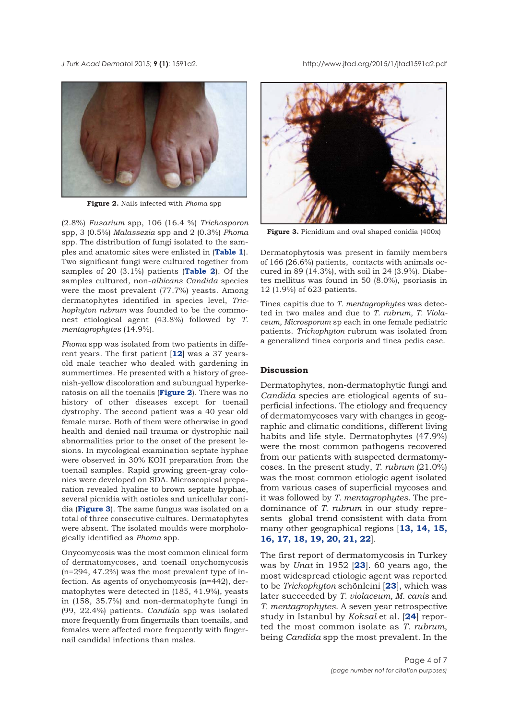*J Turk Acad Dermato*l 2015; **9 (1)**: 1591a2. http://www.jtad.org/2015/1/jtad1591a2.pdf



**Figure 2.** Nails infected with *Phoma* spp

(2.8%) *Fusarium* spp, 106 (16.4 %) *Trichosporon* spp, 3 (0.5%) *Malassezia* spp and 2 (0.3%) *Phoma* spp. The distribution of fungi isolated to the samples and anatomic sites were enlisted in (**[Table 1](#page-2-0)**). Two significant fungi were cultured together from samples of 20 (3.1%) patients (**[Table 2](#page-4-0)**). Of the samples cultured, non-*albicans Candida* species were the most prevalent (77.7%) yeasts. Among dermatophytes identified in species level, *Trichophyton rubrum* was founded to be the commonest etiological agent (43.8%) followed by *T. mentagrophytes* (14.9%).

*Phoma* spp was isolated from two patients in different years. The first patient [**[12](#page-5-0)**] was a 37 yearsold male teacher who dealed with gardening in summertimes. He presented with a history of greenish-yellow discoloration and subungual hyperkeratosis on all the toenails (**Figure 2**). There was no history of other diseases except for toenail dystrophy. The second patient was a 40 year old female nurse. Both of them were otherwise in good health and denied nail trauma or dystrophic nail abnormalities prior to the onset of the present lesions. In mycological examination septate hyphae were observed in 30% KOH preparation from the toenail samples. Rapid growing green-gray colonies were developed on SDA. Microscopical preparation revealed hyaline to brown septate hyphae, several picnidia with ostioles and unicellular conidia (**Figure 3**). The same fungus was isolated on a total of three consecutive cultures. Dermatophytes were absent. The isolated moulds were morphologically identified as *Phoma* spp.

Onycomycosis was the most common clinical form of dermatomycoses, and toenail onychomycosis (n=294, 47.2%) was the most prevalent type of infection. As agents of onychomycosis (n=442), dermatophytes were detected in (185, 41.9%), yeasts in (158, 35.7%) and non-dermatophyte fungi in (99, 22.4%) patients. *Candida* spp was isolated more frequently from fingernails than toenails, and females were affected more frequently with fingernail candidal infections than males.



**Figure 3.** Picnidium and oval shaped conidia (400x)

Dermatophytosis was present in family members of 166 (26.6%) patients, contacts with animals occured in 89 (14.3%), with soil in 24 (3.9%). Diabetes mellitus was found in 50 (8.0%), psoriasis in 12 (1.9%) of 623 patients.

Tinea capitis due to *T. mentagrophytes* was detected in two males and due to *T. rubrum, T. Violaceum, Microsporum* sp each in one female pediatric patients. *Trichophyton* rubrum was isolated from a generalized tinea corporis and tinea pedis case.

### **Discussion**

Dermatophytes, non-dermatophytic fungi and *Candida* species are etiological agents of superficial infections. The etiology and frequency of dermatomycoses vary with changes in geographic and climatic conditions, different living habits and life style. Dermatophytes (47.9%) were the most common pathogens recovered from our patients with suspected dermatomycoses. In the present study, *T. rubrum* (21.0%) was the most common etiologic agent isolated from various cases of superficial mycoses and it was followed by *T. mentagrophytes*. The predominance of *T. rubrum* in our study represents global trend consistent with data from many other geographical regions [**[13](#page-5-0), [14,](#page-5-0) [15,](#page-5-0) [16, 17](#page-5-0), [18,](#page-5-0) [19,](#page-6-0) [20](#page-5-0), [21, 22](#page-6-0)**].

The first report of dermatomycosis in Turkey was by *Unat* in 1952 [**[23](#page-6-0)**]. 60 years ago, the most widespread etiologic agent was reported to be *Trichophyton* schönleini [**[23](#page-6-0)**], which was later succeeded by *T. violaceum, M. canis* and *T. mentagrophytes*. A seven year retrospective study in Istanbul by *Koksal* et al. [**[24](#page-6-0)**] reported the most common isolate as *T. rubrum*, being *Candida* spp the most prevalent. In the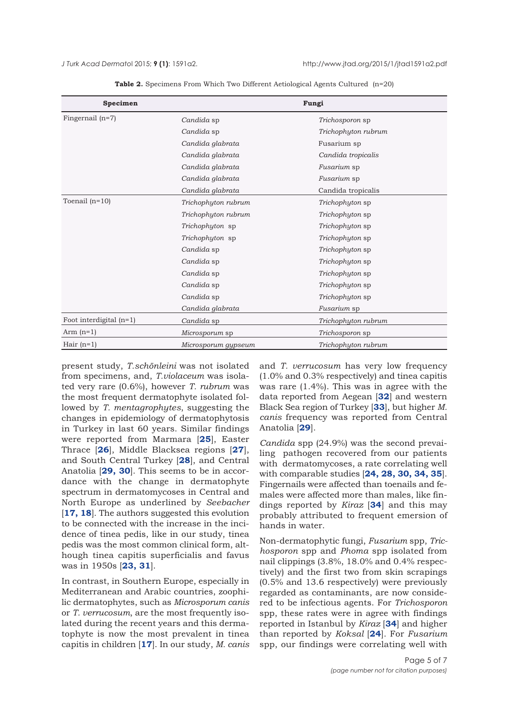<span id="page-4-0"></span>*J Turk Acad Dermato*l 2015; **9 (1)**: 1591a2. http://www.jtad.org/2015/1/jtad1591a2.pdf

| Specimen                  | Fungi               |                        |  |  |  |  |  |
|---------------------------|---------------------|------------------------|--|--|--|--|--|
| Fingernail $(n=7)$        | Candida sp          | Trichosporon sp        |  |  |  |  |  |
|                           | Candida sp          | Trichophyton rubrum    |  |  |  |  |  |
|                           | Candida glabrata    | Fusarium sp            |  |  |  |  |  |
|                           | Candida glabrata    | Candida tropicalis     |  |  |  |  |  |
|                           | Candida glabrata    | Fusarium sp            |  |  |  |  |  |
|                           | Candida glabrata    | Fusarium sp            |  |  |  |  |  |
|                           | Candida glabrata    | Candida tropicalis     |  |  |  |  |  |
| Toenail $(n=10)$          | Trichophyton rubrum | Trichophyton sp        |  |  |  |  |  |
|                           | Trichophyton rubrum | <i>Trichophyton</i> sp |  |  |  |  |  |
|                           | Trichophyton sp     | Trichophyton sp        |  |  |  |  |  |
|                           | Trichophyton sp     | Trichophyton sp        |  |  |  |  |  |
|                           | Candida sp          | Trichophyton sp        |  |  |  |  |  |
|                           | Candida sp          | <i>Trichophyton</i> sp |  |  |  |  |  |
|                           | Candida sp          | Trichophyton sp        |  |  |  |  |  |
|                           | Candida sp          | Trichophyton sp        |  |  |  |  |  |
|                           | Candida sp          | Trichophyton sp        |  |  |  |  |  |
|                           | Candida glabrata    | Fusarium sp            |  |  |  |  |  |
| Foot interdigital $(n=1)$ | Candida sp          | Trichophyton rubrum    |  |  |  |  |  |
| Arm $(n=1)$               | Microsporum sp      | Trichosporon sp        |  |  |  |  |  |
| Hair $(n=1)$              | Microsporum gypseum | Trichophyton rubrum    |  |  |  |  |  |

**Table 2.** Specimens From Which Two Different Aetiological Agents Cultured (n=20)

present study, *T.schönleini* was not isolated from specimens, and, *T.violaceum* was isolated very rare (0.6%), however *T. rubrum* was the most frequent dermatophyte isolated followed by *T. mentagrophytes*, suggesting the changes in epidemiology of dermatophytosis in Turkey in last 60 years. Similar findings were reported from Marmara [**[25](#page-6-0)**], Easter Thrace [**[26](#page-6-0)**], Middle Blacksea regions [**[27](#page-6-0)**], and South Central Turkey [**[28](#page-6-0)**], and Central Anatolia [**[29](#page-6-0), [30](#page-6-0)**]. This seems to be in accordance with the change in dermatophyte spectrum in dermatomycoses in Central and North Europe as underlined by *Seebacher* [**[17, 18](#page-5-0)**]. The authors suggested this evolution to be connected with the increase in the incidence of tinea pedis, like in our study, tinea pedis was the most common clinical form, although tinea capitis superficialis and favus was in 1950s [**[23](#page-6-0), [31](#page-6-0)**].

In contrast, in Southern Europe, especially in Mediterranean and Arabic countries, zoophilic dermatophytes, such as *Microsporum canis* or *T. verrucosum*, are the most frequently isolated during the recent years and this dermatophyte is now the most prevalent in tinea capitis in children [**[17](#page-5-0)**]. In our study, *M. canis* and *T. verrucosum* has very low frequency (1.0% and 0.3% respectively) and tinea capitis was rare (1.4%). This was in agree with the data reported from Aegean [**[32](#page-6-0)**] and western Black Sea region of Turkey [**[33](#page-6-0)**], but higher *M. canis* frequency was reported from Central Anatolia [**[29](#page-6-0)**].

*Candida* spp (24.9%) was the second prevailing pathogen recovered from our patients with dermatomycoses, a rate correlating well with comparable studies [**[24, 28](#page-6-0), [30, 34, 35](#page-6-0)**]. Fingernails were affected than toenails and females were affected more than males, like findings reported by *Kiraz* [**[34](#page-6-0)**] and this may probably attributed to frequent emersion of hands in water.

Non-dermatophytic fungi, *Fusarium* spp, *Trichosporon* spp and *Phoma* spp isolated from nail clippings (3.8%, 18.0% and 0.4% respectively) and the first two from skin scrapings (0.5% and 13.6 respectively) were previously regarded as contaminants, are now considered to be infectious agents. For *Trichosporon* spp, these rates were in agree with findings reported in Istanbul by *Kiraz* [**[34](#page-6-0)**] and higher than reported by *Koksal* [**[24](#page-6-0)**]. For *Fusarium* spp, our findings were correlating well with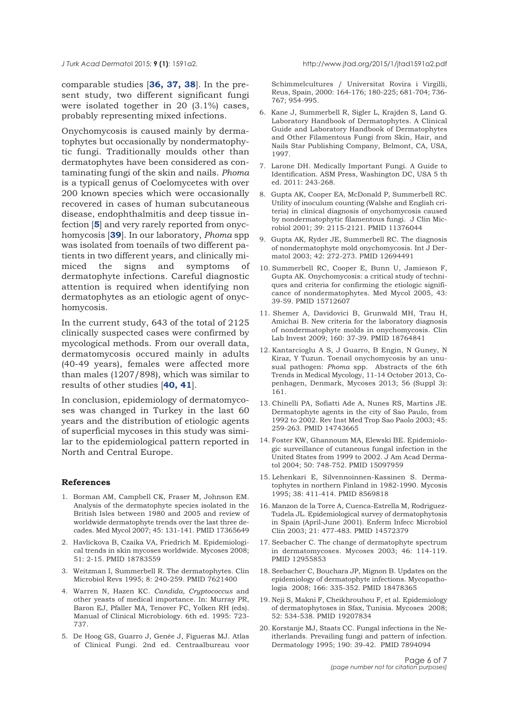<span id="page-5-0"></span>Onychomycosis is caused mainly by dermatophytes but occasionally by nondermatophytic fungi. Traditionally moulds other than dermatophytes have been considered as contaminating fungi of the skin and nails. *Phoma* is a typicall genus of Coelomycetes with over 200 known species which were occasionally recovered in cases of human subcutaneous disease, endophthalmitis and deep tissue infection [**5**] and very rarely reported from onychomycosis [**[39](#page-6-0)**]. In our laboratory, *Phoma* spp was isolated from toenails of two different patients in two different years, and clinically mimiced the signs and symptoms of dermatophyte infections. Careful diagnostic attention is required when identifying non dermatophytes as an etiologic agent of onychomycosis.

In the current study, 643 of the total of 2125 clinically suspected cases were confirmed by mycological methods. From our overall data, dermatomycosis occured mainly in adults (40-49 years), females were affected more than males (1207/898), which was similar to results of other studies [**[40](#page-6-0), [41](#page-6-0)**].

In conclusion, epidemiology of dermatomycoses was changed in Turkey in the last 60 years and the distribution of etiologic agents of superficial mycoses in this study was similar to the epidemiological pattern reported in North and Central Europe.

### **References**

- 1. Borman AM, Campbell CK, Fraser M, Johnson EM. Analysis of the dermatophyte species isolated in the British Isles between 1980 and 2005 and review of worldwide dermatophyte trends over the last three decades. Med Mycol 2007; 45: 131-141. PMID 17365649
- 2. Havlickova B, Czaika VA, Friedrich M. Epidemiological trends in skin mycoses worldwide. Mycoses 2008; 51: 2-15. PMID 18783559
- 3. Weitzman I, Summerbell R. The dermatophytes. Clin Microbiol Revs 1995; 8: 240-259. PMID 7621400
- 4. Warren N, Hazen KC. *Candida, Cryptococcus* and other yeasts of medical importance. In: Murray PR, Baron EJ, Pfaller MA, Tenover FC, Yolken RH (eds). Manual of Clinical Microbiology. 6th ed. 1995: 723- 737.
- 5. De Hoog GS, Guarro J, Genée J, Figueras MJ. Atlas of Clinical Fungi. 2nd ed. Centraalbureau voor

Schimmelcultures / Universitat Rovira i Virgilli, Reus, Spain, 2000: 164-176; 180-225; 681-704; 736- 767; 954-995.

- 6. Kane J, Summerbell R, Sigler L, Krajden S, Land G. Laboratory Handbook of Dermatophytes. A Clinical Guide and Laboratory Handbook of Dermatophytes and Other Filamentous Fungi from Skin, Hair, and Nails Star Publishing Company, Belmont, CA, USA, 1997.
- 7. Larone DH. Medically Important Fungi. A Guide to Identification. ASM Press, Washington DC, USA 5 th ed. 2011: 243-268.
- 8. Gupta AK, Cooper EA, McDonald P, Summerbell RC. Utility of inoculum counting (Walshe and English criteria) in clinical diagnosis of onychomycosis caused by nondermatophytic filamentous fungi. J Clin Microbiol 2001; 39: 2115-2121. PMID 11376044
- 9. Gupta AK, Ryder JE, Summerbell RC. The diagnosis of nondermatophyte mold onychomycosis. Int J Dermatol 2003; 42: 272-273. PMID 12694491
- 10. Summerbell RC, Cooper E, Bunn U, Jamieson F, Gupta AK. Onychomycosis: a critical study of techniques and criteria for confirming the etiologic significance of nondermatophytes. Med Mycol 2005, 43: 39-59. PMID 15712607
- 11. Shemer A, Davidovici B, Grunwald MH, Trau H, Amichai B. New criteria for the laboratory diagnosis of nondermatophyte molds in onychomycosis. Clin Lab Invest 2009; 160: 37-39. PMID 18764841
- 12. Kantarcioglu A S, J Guarro, B Engin, N Guney, N Kiraz, Y Tuzun. Toenail onychomycosis by an unusual pathogen: *Phoma* spp. Abstracts of the 6th Trends in Medical Mycology, 11-14 October 2013, Copenhagen, Denmark, Mycoses 2013; 56 (Suppl 3): 161.
- 13. Chinelli PA, Sofiatti Ade A, Nunes RS, Martins JE. Dermatophyte agents in the city of Sao Paulo, from 1992 to 2002. Rev Inst Med Trop Sao Paolo 2003; 45: 259-263. PMID 14743665
- 14. Foster KW, Ghannoum MA, Elewski BE. Epidemiologic surveillance of cutaneous fungal infection in the United States from 1999 to 2002. J Am Acad Dermatol 2004; 50: 748-752. PMID 15097959
- 15. Lehenkari E, Silvennoinnen-Kassinen S. Dermatophytes in northern Finland in 1982-1990. Mycosis 1995; 38: 411-414. PMID 8569818
- 16. Manzon de la Torre A, Cuenca-Estrella M, Rodriguez-Tudela JL. Epidemiological survey of dermatophytosis in Spain (April-June 2001). Enferm Infecc Microbiol Clin 2003; 21: 477-483. PMID 14572379
- 17. Seebacher C. The change of dermatophyte spectrum in dermatomycoses. Mycoses 2003; 46: 114-119. PMID 12955853
- 18. Seebacher C, Bouchara JP, Mignon B. Updates on the epidemiology of dermatophyte infections. Mycopathologia 2008; 166: 335-352. PMID 18478365
- 19. Neji S, Makni F, Cheikhrouhou F, et al. Epidemiology of dermatophytoses in Sfax, Tunisia. Mycoses 2008; 52: 534-538. PMID 19207834
- 20. Korstanje MJ, Staats CC. Fungal infections in the Neitherlands. Prevailing fungi and pattern of infection. Dermatology 1995; 190: 39-42. PMID 7894094